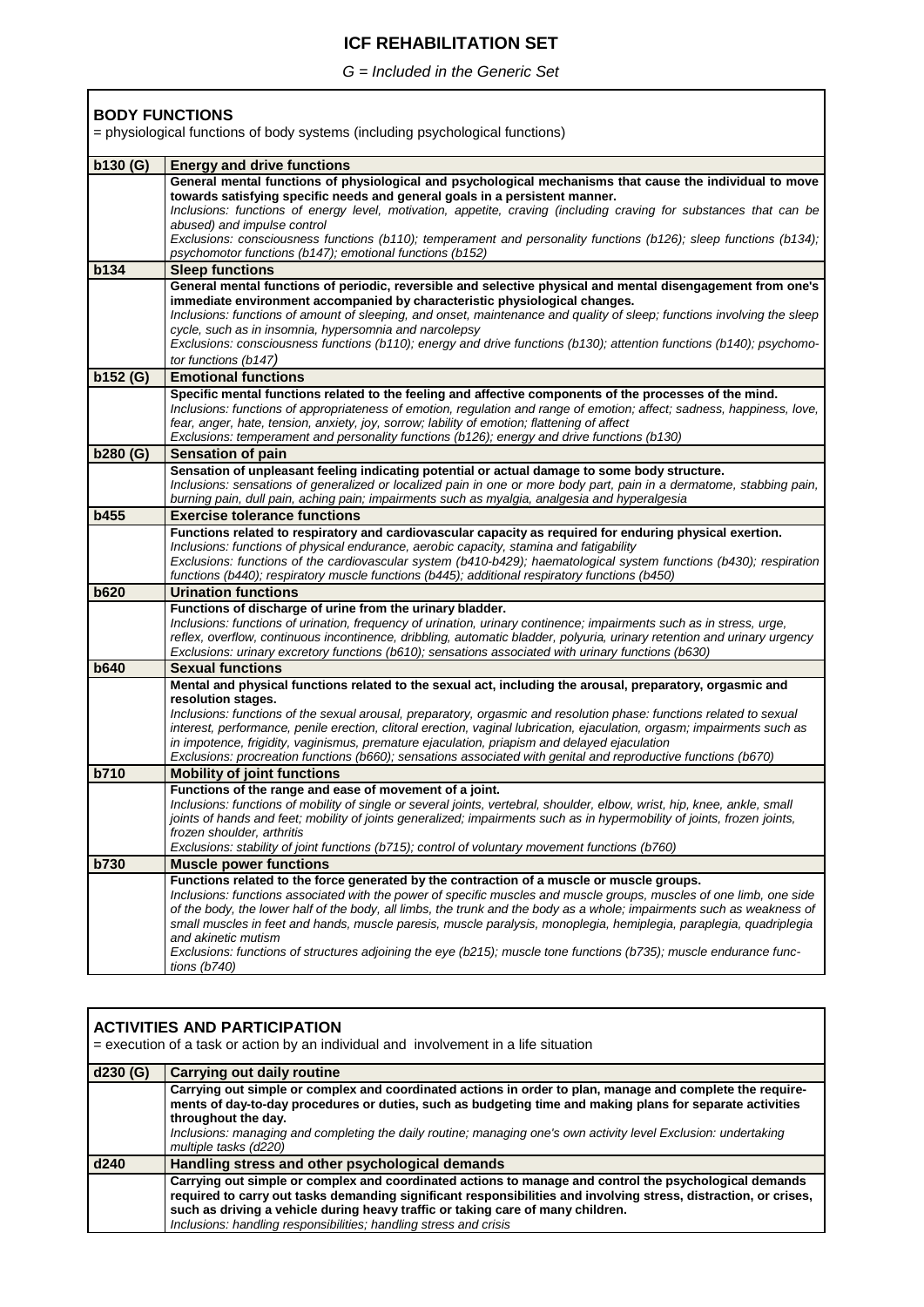## **ICF REHABILITATION SET**

*G = Included in the Generic Set*

| <b>BODY FUNCTIONS</b>                                                         |                                                                                                                                                                                                                                                                                                                                                                                                                                                                                                                                                                                                                                   |  |
|-------------------------------------------------------------------------------|-----------------------------------------------------------------------------------------------------------------------------------------------------------------------------------------------------------------------------------------------------------------------------------------------------------------------------------------------------------------------------------------------------------------------------------------------------------------------------------------------------------------------------------------------------------------------------------------------------------------------------------|--|
| = physiological functions of body systems (including psychological functions) |                                                                                                                                                                                                                                                                                                                                                                                                                                                                                                                                                                                                                                   |  |
| b130(G)                                                                       | <b>Energy and drive functions</b>                                                                                                                                                                                                                                                                                                                                                                                                                                                                                                                                                                                                 |  |
|                                                                               | General mental functions of physiological and psychological mechanisms that cause the individual to move<br>towards satisfying specific needs and general goals in a persistent manner.<br>Inclusions: functions of energy level, motivation, appetite, craving (including craving for substances that can be<br>abused) and impulse control<br>Exclusions: consciousness functions (b110); temperament and personality functions (b126); sleep functions (b134);<br>psychomotor functions (b147); emotional functions (b152)                                                                                                     |  |
| <b>b134</b>                                                                   | <b>Sleep functions</b>                                                                                                                                                                                                                                                                                                                                                                                                                                                                                                                                                                                                            |  |
|                                                                               | General mental functions of periodic, reversible and selective physical and mental disengagement from one's<br>immediate environment accompanied by characteristic physiological changes.<br>Inclusions: functions of amount of sleeping, and onset, maintenance and quality of sleep; functions involving the sleep<br>cycle, such as in insomnia, hypersomnia and narcolepsy<br>Exclusions: consciousness functions (b110); energy and drive functions (b130); attention functions (b140); psychomo-<br>tor functions (b147)                                                                                                    |  |
| b152 (G)                                                                      | <b>Emotional functions</b>                                                                                                                                                                                                                                                                                                                                                                                                                                                                                                                                                                                                        |  |
|                                                                               | Specific mental functions related to the feeling and affective components of the processes of the mind.<br>Inclusions: functions of appropriateness of emotion, regulation and range of emotion; affect; sadness, happiness, love,<br>fear, anger, hate, tension, anxiety, joy, sorrow; lability of emotion; flattening of affect<br>Exclusions: temperament and personality functions (b126); energy and drive functions (b130)                                                                                                                                                                                                  |  |
| b280(G)                                                                       | Sensation of pain                                                                                                                                                                                                                                                                                                                                                                                                                                                                                                                                                                                                                 |  |
|                                                                               | Sensation of unpleasant feeling indicating potential or actual damage to some body structure.<br>Inclusions: sensations of generalized or localized pain in one or more body part, pain in a dermatome, stabbing pain,<br>burning pain, dull pain, aching pain; impairments such as myalgia, analgesia and hyperalgesia                                                                                                                                                                                                                                                                                                           |  |
| <b>b455</b>                                                                   | <b>Exercise tolerance functions</b>                                                                                                                                                                                                                                                                                                                                                                                                                                                                                                                                                                                               |  |
|                                                                               | Functions related to respiratory and cardiovascular capacity as required for enduring physical exertion.<br>Inclusions: functions of physical endurance, aerobic capacity, stamina and fatigability<br>Exclusions: functions of the cardiovascular system (b410-b429); haematological system functions (b430); respiration<br>functions (b440); respiratory muscle functions (b445); additional respiratory functions (b450)                                                                                                                                                                                                      |  |
| <b>b620</b>                                                                   | <b>Urination functions</b>                                                                                                                                                                                                                                                                                                                                                                                                                                                                                                                                                                                                        |  |
|                                                                               | Functions of discharge of urine from the urinary bladder.<br>Inclusions: functions of urination, frequency of urination, urinary continence; impairments such as in stress, urge,<br>reflex, overflow, continuous incontinence, dribbling, automatic bladder, polyuria, urinary retention and urinary urgency<br>Exclusions: urinary excretory functions (b610); sensations associated with urinary functions (b630)                                                                                                                                                                                                              |  |
| <b>b640</b>                                                                   | <b>Sexual functions</b>                                                                                                                                                                                                                                                                                                                                                                                                                                                                                                                                                                                                           |  |
|                                                                               | Mental and physical functions related to the sexual act, including the arousal, preparatory, orgasmic and<br>resolution stages.<br>Inclusions: functions of the sexual arousal, preparatory, orgasmic and resolution phase: functions related to sexual<br>interest, performance, penile erection, clitoral erection, vaginal lubrication, ejaculation, orgasm; impairments such as<br>in impotence, frigidity, vaginismus, premature ejaculation, priapism and delayed ejaculation<br>Exclusions: procreation functions (b660); sensations associated with genital and reproductive functions (b670)                             |  |
| <b>b710</b>                                                                   | <b>Mobility of joint functions</b>                                                                                                                                                                                                                                                                                                                                                                                                                                                                                                                                                                                                |  |
|                                                                               | Functions of the range and ease of movement of a joint.<br>Inclusions: functions of mobility of single or several joints, vertebral, shoulder, elbow, wrist, hip, knee, ankle, small<br>joints of hands and feet; mobility of joints generalized; impairments such as in hypermobility of joints, frozen joints,<br>frozen shoulder, arthritis<br>Exclusions: stability of joint functions (b715); control of voluntary movement functions (b760)                                                                                                                                                                                 |  |
| <b>b730</b>                                                                   | <b>Muscle power functions</b>                                                                                                                                                                                                                                                                                                                                                                                                                                                                                                                                                                                                     |  |
|                                                                               | Functions related to the force generated by the contraction of a muscle or muscle groups.<br>Inclusions: functions associated with the power of specific muscles and muscle groups, muscles of one limb, one side<br>of the body, the lower half of the body, all limbs, the trunk and the body as a whole; impairments such as weakness of<br>small muscles in feet and hands, muscle paresis, muscle paralysis, monoplegia, hemiplegia, paraplegia, quadriplegia<br>and akinetic mutism<br>Exclusions: functions of structures adjoining the eye (b215); muscle tone functions (b735); muscle endurance func-<br>tions $(b740)$ |  |
|                                                                               |                                                                                                                                                                                                                                                                                                                                                                                                                                                                                                                                                                                                                                   |  |

## **ACTIVITIES AND PARTICIPATION** = execution of a task or action by an individual and involvement in a life situation **d230 (G) Carrying out daily routine Carrying out simple or complex and coordinated actions in order to plan, manage and complete the requirements of day-to-day procedures or duties, such as budgeting time and making plans for separate activities throughout the day.** *Inclusions: managing and completing the daily routine; managing one's own activity level Exclusion: undertaking multiple tasks (d220)* **d240 Handling stress and other psychological demands Carrying out simple or complex and coordinated actions to manage and control the psychological demands required to carry out tasks demanding significant responsibilities and involving stress, distraction, or crises, such as driving a vehicle during heavy traffic or taking care of many children.**  *Inclusions: handling responsibilities; handling stress and crisis*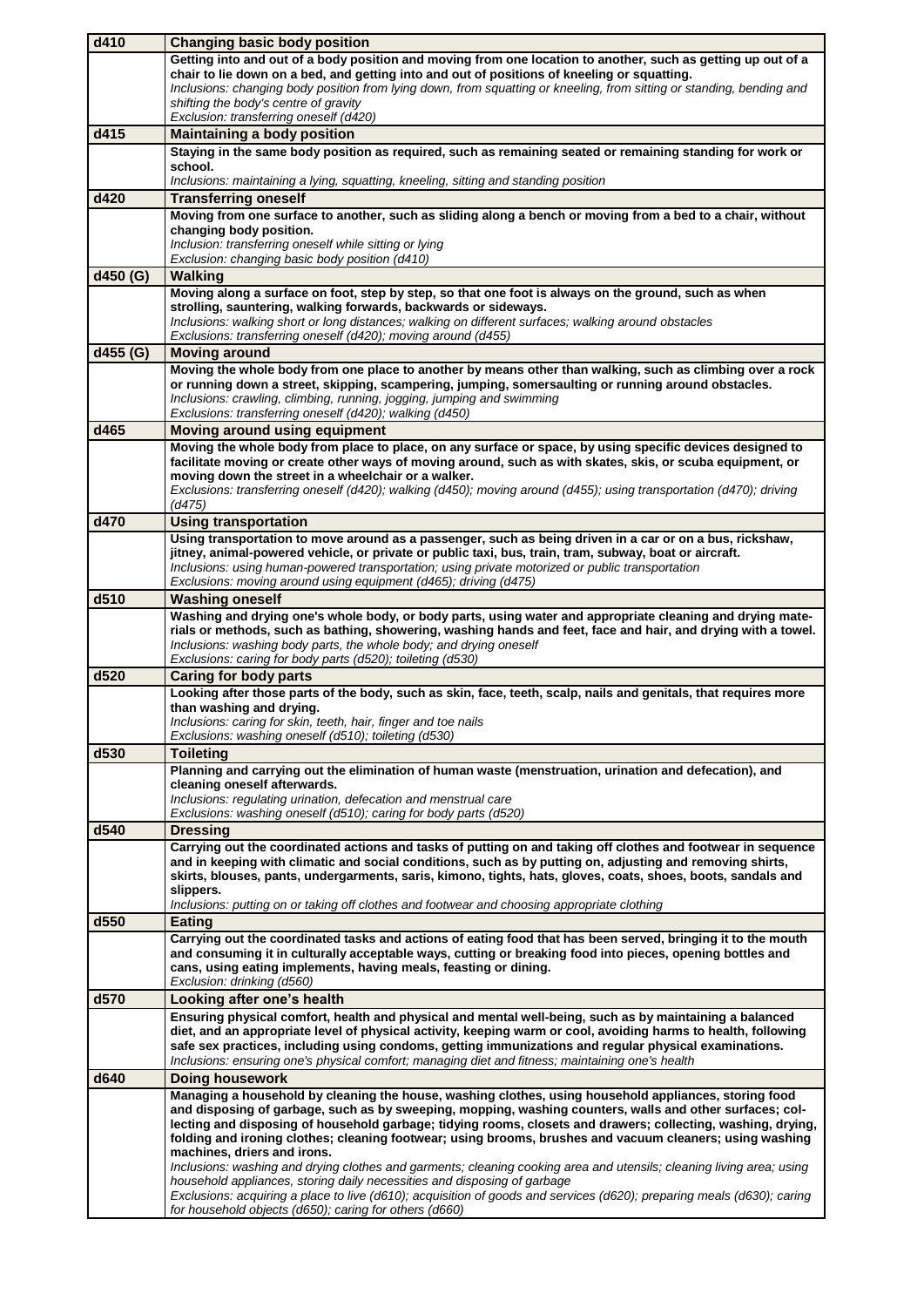| d410             | <b>Changing basic body position</b>                                                                                                                                                                                       |
|------------------|---------------------------------------------------------------------------------------------------------------------------------------------------------------------------------------------------------------------------|
|                  | Getting into and out of a body position and moving from one location to another, such as getting up out of a                                                                                                              |
|                  | chair to lie down on a bed, and getting into and out of positions of kneeling or squatting.<br>Inclusions: changing body position from lying down, from squatting or kneeling, from sitting or standing, bending and      |
|                  | shifting the body's centre of gravity                                                                                                                                                                                     |
|                  | Exclusion: transferring oneself (d420)                                                                                                                                                                                    |
| d415             | <b>Maintaining a body position</b>                                                                                                                                                                                        |
|                  | Staying in the same body position as required, such as remaining seated or remaining standing for work or                                                                                                                 |
|                  | school.<br>Inclusions: maintaining a lying, squatting, kneeling, sitting and standing position                                                                                                                            |
| d420             | <b>Transferring oneself</b>                                                                                                                                                                                               |
|                  | Moving from one surface to another, such as sliding along a bench or moving from a bed to a chair, without                                                                                                                |
|                  | changing body position.                                                                                                                                                                                                   |
|                  | Inclusion: transferring oneself while sitting or lying                                                                                                                                                                    |
|                  | Exclusion: changing basic body position (d410)                                                                                                                                                                            |
| d450 (G)         | <b>Walking</b><br>Moving along a surface on foot, step by step, so that one foot is always on the ground, such as when                                                                                                    |
|                  | strolling, sauntering, walking forwards, backwards or sideways.                                                                                                                                                           |
|                  | Inclusions: walking short or long distances; walking on different surfaces; walking around obstacles                                                                                                                      |
|                  | Exclusions: transferring oneself (d420); moving around (d455)                                                                                                                                                             |
| d455 (G)         | <b>Moving around</b><br>Moving the whole body from one place to another by means other than walking, such as climbing over a rock                                                                                         |
|                  | or running down a street, skipping, scampering, jumping, somersaulting or running around obstacles.                                                                                                                       |
|                  | Inclusions: crawling, climbing, running, jogging, jumping and swimming                                                                                                                                                    |
|                  | Exclusions: transferring oneself (d420); walking (d450)                                                                                                                                                                   |
| d465             | Moving around using equipment                                                                                                                                                                                             |
|                  | Moving the whole body from place to place, on any surface or space, by using specific devices designed to<br>facilitate moving or create other ways of moving around, such as with skates, skis, or scuba equipment, or   |
|                  | moving down the street in a wheelchair or a walker.                                                                                                                                                                       |
|                  | Exclusions: transferring oneself (d420); walking (d450); moving around (d455); using transportation (d470); driving                                                                                                       |
| d470             | (d475)                                                                                                                                                                                                                    |
|                  | <b>Using transportation</b><br>Using transportation to move around as a passenger, such as being driven in a car or on a bus, rickshaw,                                                                                   |
|                  | jitney, animal-powered vehicle, or private or public taxi, bus, train, tram, subway, boat or aircraft.                                                                                                                    |
|                  | Inclusions: using human-powered transportation; using private motorized or public transportation                                                                                                                          |
|                  | Exclusions: moving around using equipment (d465); driving (d475)                                                                                                                                                          |
| d510             | <b>Washing oneself</b><br>Washing and drying one's whole body, or body parts, using water and appropriate cleaning and drying mate-                                                                                       |
|                  | rials or methods, such as bathing, showering, washing hands and feet, face and hair, and drying with a towel.                                                                                                             |
|                  | Inclusions: washing body parts, the whole body; and drying oneself                                                                                                                                                        |
|                  | Exclusions: caring for body parts (d520); toileting (d530)                                                                                                                                                                |
| d520             | <b>Caring for body parts</b>                                                                                                                                                                                              |
|                  | Looking after those parts of the body, such as skin, face, teeth, scalp, nails and genitals, that requires more<br>than washing and drying.                                                                               |
|                  | Inclusions: caring for skin, teeth, hair, finger and toe nails                                                                                                                                                            |
|                  | Exclusions: washing oneself (d510); toileting (d530)                                                                                                                                                                      |
| d530             | <b>Toileting</b>                                                                                                                                                                                                          |
|                  | Planning and carrying out the elimination of human waste (menstruation, urination and defecation), and<br>cleaning oneself afterwards.                                                                                    |
|                  | Inclusions: regulating urination, defecation and menstrual care                                                                                                                                                           |
|                  | Exclusions: washing oneself (d510): caring for body parts (d520)                                                                                                                                                          |
| d540             | Dressina                                                                                                                                                                                                                  |
|                  | Carrying out the coordinated actions and tasks of putting on and taking off clothes and footwear in sequence<br>and in keeping with climatic and social conditions, such as by putting on, adjusting and removing shirts, |
|                  | skirts, blouses, pants, undergarments, saris, kimono, tights, hats, gloves, coats, shoes, boots, sandals and                                                                                                              |
|                  | slippers.                                                                                                                                                                                                                 |
| d <sub>550</sub> | Inclusions: putting on or taking off clothes and footwear and choosing appropriate clothing                                                                                                                               |
|                  | Eating<br>Carrying out the coordinated tasks and actions of eating food that has been served, bringing it to the mouth                                                                                                    |
|                  | and consuming it in culturally acceptable ways, cutting or breaking food into pieces, opening bottles and                                                                                                                 |
|                  | cans, using eating implements, having meals, feasting or dining.                                                                                                                                                          |
| d570             | Exclusion: drinking (d560)                                                                                                                                                                                                |
|                  | Looking after one's health                                                                                                                                                                                                |
|                  | Ensuring physical comfort, health and physical and mental well-being, such as by maintaining a balanced<br>diet, and an appropriate level of physical activity, keeping warm or cool, avoiding harms to health, following |
|                  | safe sex practices, including using condoms, getting immunizations and regular physical examinations.                                                                                                                     |
|                  | Inclusions: ensuring one's physical comfort; managing diet and fitness; maintaining one's health                                                                                                                          |
| d640             | <b>Doing housework</b>                                                                                                                                                                                                    |
|                  | Managing a household by cleaning the house, washing clothes, using household appliances, storing food<br>and disposing of garbage, such as by sweeping, mopping, washing counters, walls and other surfaces; col-         |
|                  | lecting and disposing of household garbage; tidying rooms, closets and drawers; collecting, washing, drying,                                                                                                              |
|                  | folding and ironing clothes; cleaning footwear; using brooms, brushes and vacuum cleaners; using washing                                                                                                                  |
|                  | machines, driers and irons.                                                                                                                                                                                               |
|                  | Inclusions: washing and drying clothes and garments; cleaning cooking area and utensils; cleaning living area; using<br>household appliances, storing daily necessities and disposing of garbage                          |
|                  | Exclusions: acquiring a place to live (d610); acquisition of goods and services (d620); preparing meals (d630); caring                                                                                                    |
|                  | for household objects (d650); caring for others (d660)                                                                                                                                                                    |